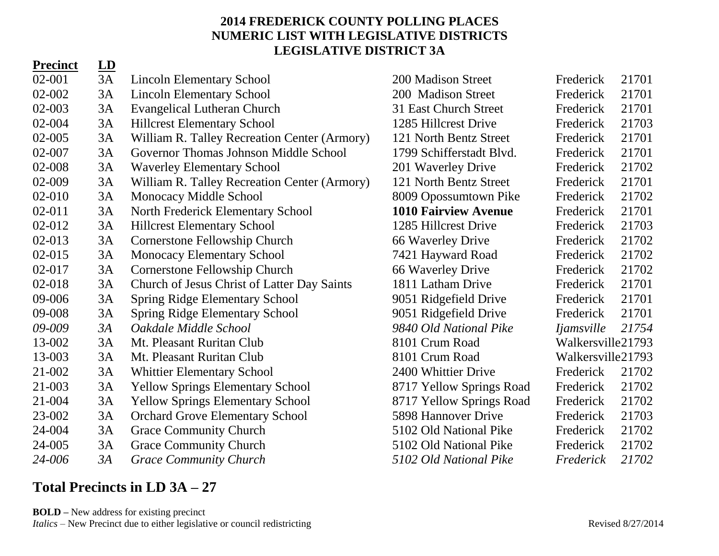### **2014 FREDERICK COUNTY POLLING PLACES NUMERIC LIST WITH LEGISLATIVE DISTRICTS LEGISLATIVE DISTRICT 3A**

### **Precinct LD**

| $02 - 001$ | 3A | <b>Lincoln Elementary School</b>             | 200 Madison Street          | Frederick         | 21701 |
|------------|----|----------------------------------------------|-----------------------------|-------------------|-------|
| 02-002     | 3A | <b>Lincoln Elementary School</b>             | 200 Madison Street          | Frederick         | 21701 |
| 02-003     | 3A | <b>Evangelical Lutheran Church</b>           | 31 East Church Street       | Frederick         | 21701 |
| 02-004     | 3A | <b>Hillcrest Elementary School</b>           | 1285 Hillcrest Drive        | Frederick         | 21703 |
| 02-005     | 3A | William R. Talley Recreation Center (Armory) | 121 North Bentz Street      | Frederick         | 21701 |
| 02-007     | 3A | Governor Thomas Johnson Middle School        | 1799 Schifferstadt Blvd.    | Frederick         | 21701 |
| 02-008     | 3A | <b>Waverley Elementary School</b>            | 201 Waverley Drive          | Frederick         | 21702 |
| 02-009     | 3A | William R. Talley Recreation Center (Armory) | 121 North Bentz Street      | Frederick         | 21701 |
| 02-010     | 3A | Monocacy Middle School                       | 8009 Opossumtown Pike       | Frederick         | 21702 |
| $02 - 011$ | 3A | North Frederick Elementary School            | <b>1010 Fairview Avenue</b> | Frederick         | 21701 |
| 02-012     | 3A | <b>Hillcrest Elementary School</b>           | 1285 Hillcrest Drive        | Frederick         | 21703 |
| 02-013     | 3A | <b>Cornerstone Fellowship Church</b>         | 66 Waverley Drive           | Frederick         | 21702 |
| 02-015     | 3A | <b>Monocacy Elementary School</b>            | 7421 Hayward Road           | Frederick         | 21702 |
| 02-017     | 3A | Cornerstone Fellowship Church                | 66 Waverley Drive           | Frederick         | 21702 |
| 02-018     | 3A | Church of Jesus Christ of Latter Day Saints  | 1811 Latham Drive           | Frederick         | 21701 |
| 09-006     | 3A | <b>Spring Ridge Elementary School</b>        | 9051 Ridgefield Drive       | Frederick         | 21701 |
| 09-008     | 3A | <b>Spring Ridge Elementary School</b>        | 9051 Ridgefield Drive       | Frederick         | 21701 |
| 09-009     | 3A | Oakdale Middle School                        | 9840 Old National Pike      | <i>Ijamsville</i> | 21754 |
| 13-002     | 3A | Mt. Pleasant Ruritan Club                    | 8101 Crum Road              | Walkersville21793 |       |
| 13-003     | 3A | Mt. Pleasant Ruritan Club                    | 8101 Crum Road              | Walkersville21793 |       |
| 21-002     | 3A | <b>Whittier Elementary School</b>            | 2400 Whittier Drive         | Frederick         | 21702 |
| 21-003     | 3A | <b>Yellow Springs Elementary School</b>      | 8717 Yellow Springs Road    | Frederick         | 21702 |
| 21-004     | 3A | <b>Yellow Springs Elementary School</b>      | 8717 Yellow Springs Road    | Frederick         | 21702 |
| 23-002     | 3A | <b>Orchard Grove Elementary School</b>       | 5898 Hannover Drive         | Frederick         | 21703 |
| 24-004     | 3A | <b>Grace Community Church</b>                | 5102 Old National Pike      | Frederick         | 21702 |
| 24-005     | 3A | <b>Grace Community Church</b>                | 5102 Old National Pike      | Frederick         | 21702 |
| 24-006     | 3A | <b>Grace Community Church</b>                | 5102 Old National Pike      | Frederick         | 21702 |

# **Total Precincts in LD 3A – 27**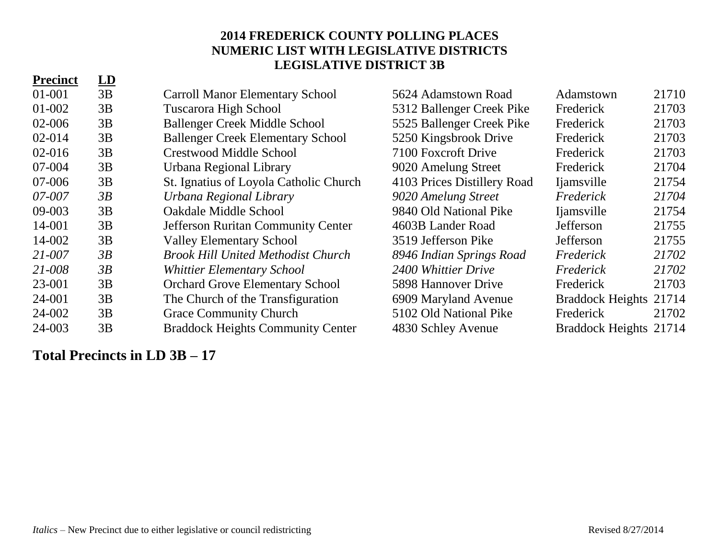### **2014 FREDERICK COUNTY POLLING PLACES NUMERIC LIST WITH LEGISLATIVE DISTRICTS LEGISLATIVE DISTRICT 3B**

| <b>Precinct</b> | $\underline{\mathbf{LD}}$ |                                           |                             |                         |       |
|-----------------|---------------------------|-------------------------------------------|-----------------------------|-------------------------|-------|
| $01 - 001$      | 3B                        | <b>Carroll Manor Elementary School</b>    | 5624 Adamstown Road         | Adamstown               | 21710 |
| 01-002          | 3B                        | <b>Tuscarora High School</b>              | 5312 Ballenger Creek Pike   | Frederick               | 21703 |
| 02-006          | 3B                        | <b>Ballenger Creek Middle School</b>      | 5525 Ballenger Creek Pike   | Frederick               | 21703 |
| $02 - 014$      | 3B                        | <b>Ballenger Creek Elementary School</b>  | 5250 Kingsbrook Drive       | Frederick               | 21703 |
| $02 - 016$      | 3B                        | <b>Crestwood Middle School</b>            | 7100 Foxcroft Drive         | Frederick               | 21703 |
| 07-004          | 3B                        | Urbana Regional Library                   | 9020 Amelung Street         | Frederick               | 21704 |
| 07-006          | 3B                        | St. Ignatius of Loyola Catholic Church    | 4103 Prices Distillery Road | <i>l</i> iamsville      | 21754 |
| 07-007          | 3B                        | Urbana Regional Library                   | 9020 Amelung Street         | Frederick               | 21704 |
| 09-003          | 3B                        | Oakdale Middle School                     | 9840 Old National Pike      | <i>l</i> iamsville      | 21754 |
| 14-001          | 3B                        | <b>Jefferson Ruritan Community Center</b> | 4603B Lander Road           | Jefferson               | 21755 |
| 14-002          | 3B                        | <b>Valley Elementary School</b>           | 3519 Jefferson Pike         | Jefferson               | 21755 |
| $21 - 007$      | 3B                        | <b>Brook Hill United Methodist Church</b> | 8946 Indian Springs Road    | Frederick               | 21702 |
| 21-008          | 3B                        | <b>Whittier Elementary School</b>         | 2400 Whittier Drive         | Frederick               | 21702 |
| 23-001          | 3B                        | <b>Orchard Grove Elementary School</b>    | 5898 Hannover Drive         | Frederick               | 21703 |
| 24-001          | 3B                        | The Church of the Transfiguration         | 6909 Maryland Avenue        | <b>Braddock Heights</b> | 21714 |
| 24-002          | 3B                        | <b>Grace Community Church</b>             | 5102 Old National Pike      | Frederick               | 21702 |
| 24-003          | 3B                        | <b>Braddock Heights Community Center</b>  | 4830 Schley Avenue          | Braddock Heights 21714  |       |

**Total Precincts in LD 3B – 17**